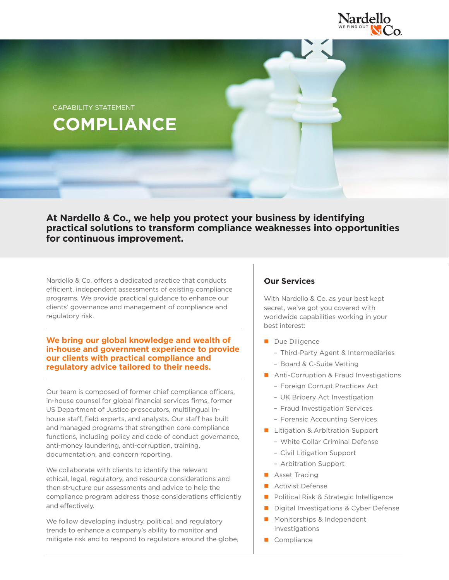

**COMPLIANCE** CAPABILITY STATEMENT

**At Nardello & Co., we help you protect your business by identifying practical solutions to transform compliance weaknesses into opportunities for continuous improvement.**

Nardello & Co. offers a dedicated practice that conducts efficient, independent assessments of existing compliance programs. We provide practical guidance to enhance our clients' governance and management of compliance and regulatory risk.

## **We bring our global knowledge and wealth of in-house and government experience to provide our clients with practical compliance and regulatory advice tailored to their needs.**

Our team is composed of former chief compliance officers, in-house counsel for global financial services firms, former US Department of Justice prosecutors, multilingual inhouse staff, field experts, and analysts. Our staff has built and managed programs that strengthen core compliance functions, including policy and code of conduct governance, anti-money laundering, anti-corruption, training, documentation, and concern reporting.

We collaborate with clients to identify the relevant ethical, legal, regulatory, and resource considerations and then structure our assessments and advice to help the compliance program address those considerations efficiently and effectively.

We follow developing industry, political, and regulatory trends to enhance a company's ability to monitor and mitigate risk and to respond to regulators around the globe,

# **Our Services**

With Nardello & Co. as your best kept secret, we've got you covered with worldwide capabilities working in your best interest:

- Due Diligence
	- Third-Party Agent & Intermediaries
	- Board & C-Suite Vetting
- **Anti-Corruption & Fraud Investigations** 
	- Foreign Corrupt Practices Act
	- UK Bribery Act Investigation
	- Fraud Investigation Services
	- Forensic Accounting Services
- **Litigation & Arbitration Support** 
	- White Collar Criminal Defense
	- Civil Litigation Support
	- Arbitration Support
- **Asset Tracing**
- **Activist Defense**
- **Political Risk & Strategic Intelligence**
- Digital Investigations & Cyber Defense
- **Monitorships & Independent** Investigations
- Compliance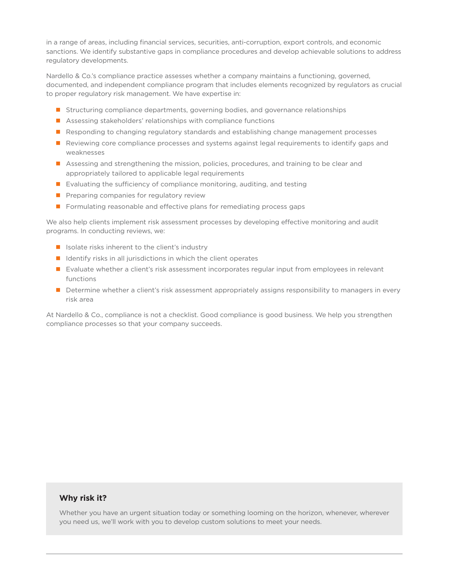in a range of areas, including financial services, securities, anti-corruption, export controls, and economic sanctions. We identify substantive gaps in compliance procedures and develop achievable solutions to address regulatory developments.

Nardello & Co.'s compliance practice assesses whether a company maintains a functioning, governed, documented, and independent compliance program that includes elements recognized by regulators as crucial to proper regulatory risk management. We have expertise in:

- **Structuring compliance departments, governing bodies, and governance relationships**
- **Assessing stakeholders' relationships with compliance functions**
- **Responding to changing regulatory standards and establishing change management processes**
- **Reviewing core compliance processes and systems against legal requirements to identify gaps and** weaknesses
- Assessing and strengthening the mission, policies, procedures, and training to be clear and appropriately tailored to applicable legal requirements
- $\blacksquare$  Evaluating the sufficiency of compliance monitoring, auditing, and testing
- $\blacksquare$  Preparing companies for regulatory review
- **Formulating reasonable and effective plans for remediating process gaps**

We also help clients implement risk assessment processes by developing effective monitoring and audit programs. In conducting reviews, we:

- $\blacksquare$  Isolate risks inherent to the client's industry
- $\blacksquare$  Identify risks in all jurisdictions in which the client operates
- **E** Evaluate whether a client's risk assessment incorporates regular input from employees in relevant functions
- Determine whether a client's risk assessment appropriately assigns responsibility to managers in every risk area

At Nardello & Co., compliance is not a checklist. Good compliance is good business. We help you strengthen compliance processes so that your company succeeds.

## **Why risk it?**

Whether you have an urgent situation today or something looming on the horizon, whenever, wherever you need us, we'll work with you to develop custom solutions to meet your needs.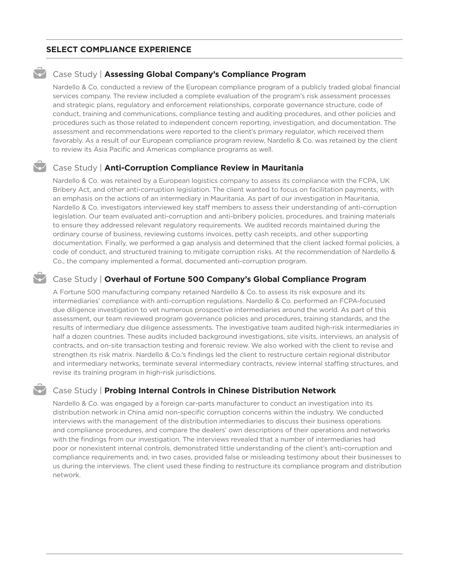## **SELECT COMPLIANCE EXPERIENCE**

### Case Study | **Assessing Global Company's Compliance Program**

Nardello & Co. conducted a review of the European compliance program of a publicly traded global financial services company. The review included a complete evaluation of the program's risk assessment processes and strategic plans, regulatory and enforcement relationships, corporate governance structure, code of conduct, training and communications, compliance testing and auditing procedures, and other policies and procedures such as those related to independent concern reporting, investigation, and documentation. The assessment and recommendations were reported to the client's primary regulator, which received them favorably. As a result of our European compliance program review, Nardello & Co. was retained by the client to review its Asia Pacific and Americas compliance programs as well.

#### Case Study | **Anti-Corruption Compliance Review in Mauritania**

Nardello & Co. was retained by a European logistics company to assess its compliance with the FCPA, UK Bribery Act, and other anti-corruption legislation. The client wanted to focus on facilitation payments, with an emphasis on the actions of an intermediary in Mauritania. As part of our investigation in Mauritania, Nardello & Co. investigators interviewed key staff members to assess their understanding of anti-corruption legislation. Our team evaluated anti-corruption and anti-bribery policies, procedures, and training materials to ensure they addressed relevant regulatory requirements. We audited records maintained during the ordinary course of business, reviewing customs invoices, petty cash receipts, and other supporting documentation. Finally, we performed a gap analysis and determined that the client lacked formal policies, a code of conduct, and structured training to mitigate corruption risks. At the recommendation of Nardello & Co., the company implemented a formal, documented anti-corruption program.

## Case Study | **Overhaul of Fortune 500 Company's Global Compliance Program**

A Fortune 500 manufacturing company retained Nardello & Co. to assess its risk exposure and its intermediaries' compliance with anti-corruption regulations. Nardello & Co. performed an FCPA-focused due diligence investigation to vet numerous prospective intermediaries around the world. As part of this assessment, our team reviewed program governance policies and procedures, training standards, and the results of intermediary due diligence assessments. The investigative team audited high-risk intermediaries in half a dozen countries. These audits included background investigations, site visits, interviews, an analysis of contracts, and on-site transaction testing and forensic review. We also worked with the client to revise and strengthen its risk matrix. Nardello & Co.'s findings led the client to restructure certain regional distributor and intermediary networks, terminate several intermediary contracts, review internal staffing structures, and revise its training program in high-risk jurisdictions.

## Case Study | **Probing Internal Controls in Chinese Distribution Network**

Nardello & Co. was engaged by a foreign car-parts manufacturer to conduct an investigation into its distribution network in China amid non-specific corruption concerns within the industry. We conducted interviews with the management of the distribution intermediaries to discuss their business operations and compliance procedures, and compare the dealers' own descriptions of their operations and networks with the findings from our investigation. The interviews revealed that a number of intermediaries had poor or nonexistent internal controls, demonstrated little understanding of the client's anti-corruption and compliance requirements and, in two cases, provided false or misleading testimony about their businesses to us during the interviews. The client used these finding to restructure its compliance program and distribution network.